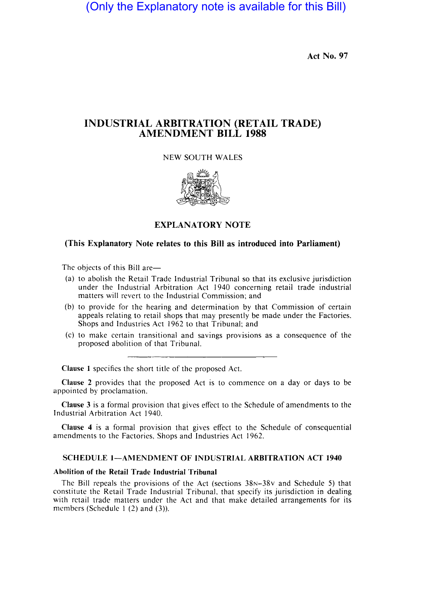(Only the Explanatory note is available for this Bill)

Act No. 97

## INDUSTRIAL ARBIfRATION (RETAIL TRADE) AMENDMENT BILL 1988

NEW \$OUTH WALES



### EXPLANATORY NOTE

# (This Explanatory Note relates to this Bill as introduced into Parliament)

The objects of this Bill are-

- (a) to abolish the Retail Trade Industrial Tribunal so that its exclusive jurisdiction under the Industrial Arbitration Act 1940 concerning retail trade industrial matters will revert to the Industrial Commission; and
- (b) to provide for the hearing and determination by that Commission of certain appeals relating to retail shops hat may presently be made under the Factories. Shops and Industries Act 1962 to that Tribunal; and
- $(c)$  to make certain transitional and savings provisions as a consequence of the proposed abolition of that Tribunal.

Clause 1 specifies the short title of the proposed Act.

Clause 2 provides that the proposed Act is to commence on a day or days to be appointed by proclamation.

Clause 3 is a formal provision that gives effect to the Schedule of amendments to the Industrial Arbitration Act 1940.

Clause 4 is a formal provision that gives effect to the Schedule of consequential amendments to the Factories, Shops and Industries Act 1962.

# SCHEDULE 1—AMENDMENT OF INDUSTRIAL ARBITRATION ACT 1940

#### Abolition of the Retail Trade Industrial Tribunal

The Bill repeals the provisions of the Act (sections  $38N-38V$  and Schedule 5) that constitute the Retail Trade Industrial Tribunal, that specify its jurisdiction in dealing with retail trade matters under the Act and that make detailed arrangements for its members (Schedule  $1(2)$  and  $(3)$ ).